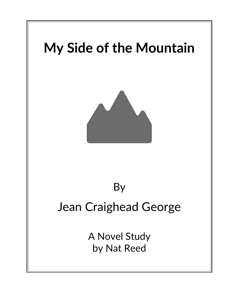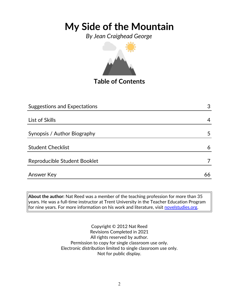*By Jean Craighead George*



### **Table of Contents**

| <b>Suggestions and Expectations</b> |    |  |  |
|-------------------------------------|----|--|--|
|                                     |    |  |  |
| List of Skills                      | 4  |  |  |
|                                     |    |  |  |
| Synopsis / Author Biography         | 5  |  |  |
|                                     |    |  |  |
| <b>Student Checklist</b>            | 6  |  |  |
| Reproducible Student Booklet        |    |  |  |
| Answer Key                          | 66 |  |  |
|                                     |    |  |  |

**About the author:** Nat Reed was a member of the teaching profession for more than 35 years. He was a full-time instructor at Trent University in the Teacher Education Program for nine years. For more information on his work and literature, visit **novelstudies.org**.

> Copyright © 2012 Nat Reed Revisions Completed in 2021 All rights reserved by author. Permission to copy for single classroom use only. Electronic distribution limited to single classroom use only. Not for public display.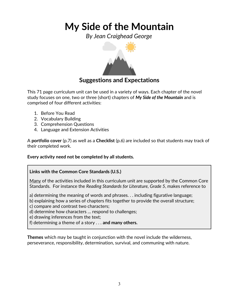*By Jean Craighead George*



### **Suggestions and Expectations**

This 71 page curriculum unit can be used in a variety of ways. Each chapter of the novel study focuses on one, two or three (short) chapters of *My Side of the Mountain* and is comprised of four different activities:

- 1. Before You Read
- 2. Vocabulary Building
- 3. Comprehension Questions
- 4. Language and Extension Activities

A **portfolio cover** (p.7) as well as a **Checklist** (p.6) are included so that students may track of their completed work.

**Every activity need not be completed by all students.** 

### **Links with the Common Core Standards (U.S.)**

Many of the activities included in this curriculum unit are supported by the Common Core Standards. For instance the *Reading Standards for Literature, Grade 5*, makes reference to

a) determining the meaning of words and phrases. . . including figurative language;

b) explaining how a series of chapters fits together to provide the overall structure;

c) compare and contrast two characters;

d) determine how characters … respond to challenges;

e) drawing inferences from the text;

f) determining a theme of a story . . . **and many others.**

**Themes** which may be taught in conjunction with the novel include the wilderness, perseverance, responsibility, determination, survival, and communing with nature.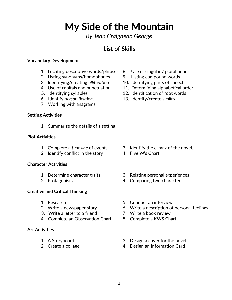*By Jean Craighead George*

### **List of Skills**

#### **Vocabulary Development**

- 1. Locating descriptive words/phrases 8. Use of singular / plural nouns
- 2. Listing synonyms/homophones 9. Listing compound words
- 3. Identifying/creating *alliteration* 10. Identifying parts of speech
- 
- 
- 
- 7. Working with anagrams.

#### **Setting Activities**

1. Summarize the details of a setting

#### **Plot Activities**

- 
- 2. Identify conflict in the story 4. Five W's Chart

#### **Character Activities**

- 
- 

#### **Creative and Critical Thinking**

- 
- 
- 3. Write a letter to a friend 7. Write a book review
- 4. Complete an Observation Chart 8. Complete a KWS Chart

#### **Art Activities**

- 
- 
- 
- 
- 
- 4. Use of capitals and punctuation 11. Determining alphabetical order
- 5. Identifying syllables 12. Identification of root words
- 6. Identify *personification*. 13. Identify/create *similes*

- 1. Complete a *time line* of events 3. Identify the climax of the novel.
	-
- 1. Determine character traits 3. Relating personal experiences
- 2. Protagonists 4. Comparing two characters
- 1. Research 5. Conduct an interview
- 2. Write a newspaper story 6. Write a description of personal feelings
	-
	-
- 1. A Storyboard 3. Design a cover for the novel
- 2. Create a collage 2. Create a collage  $\frac{4}{100}$ . Design an Information Card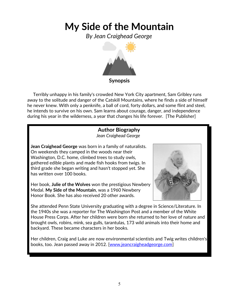*By Jean Craighead George*



 Terribly unhappy in his family's crowded New York City apartment, Sam Gribley runs away to the solitude and danger of the Catskill Mountains, where he finds a side of himself he never knew. With only a penknife, a ball of cord, forty dollars, and some flint and steel, he intends to survive on his own. Sam learns about courage, danger, and independence during his year in the wilderness, a year that changes his life forever. [The Publisher]

### **Author Biography** *Jean Craighead George*

**Jean Craighead George** was born in a family of naturalists. On weekends they camped in the woods near their Washington, D.C. home, climbed trees to study owls, gathered edible plants and made fish hooks from twigs. In third grade she began writing and hasn't stopped yet. She has written over 100 books.

Her book, **Julie of the Wolves** won the prestigious Newbery Medal. **My Side of the Mountain**, was a 1960 Newbery Honor Book. She has also received 20 other awards.



She attended Penn State University graduating with a degree in Science/Literature. In the 1940s she was a reporter for The Washington Post and a member of the White House Press Corps. After her children were born she returned to her love of nature and brought owls, robins, mink, sea gulls, tarantulas, 173 wild animals into their home and backyard. These became characters in her books.

Her children, Craig and [Luke](http://www.humboldt.edu/~tlg2/) are now environmental scientists and [Twig](http://www.twigcgeorge.com/) writes children's books, too. Jean passed away in 2012. [\[www.jeancraigheadgeorge.com\]](http://www.jeancraigheadgeorge.com/)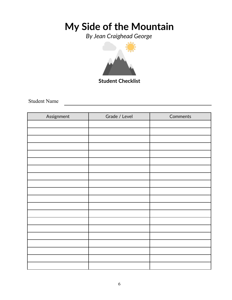*By Jean Craighead George*



**Student Checklist**

Student Name

| Assignment | Grade / Level | Comments |  |  |  |  |  |  |
|------------|---------------|----------|--|--|--|--|--|--|
|            |               |          |  |  |  |  |  |  |
|            |               |          |  |  |  |  |  |  |
|            |               |          |  |  |  |  |  |  |
|            |               |          |  |  |  |  |  |  |
|            |               |          |  |  |  |  |  |  |
|            |               |          |  |  |  |  |  |  |
|            |               |          |  |  |  |  |  |  |
|            |               |          |  |  |  |  |  |  |
|            |               |          |  |  |  |  |  |  |
|            |               |          |  |  |  |  |  |  |
|            |               |          |  |  |  |  |  |  |
|            |               |          |  |  |  |  |  |  |
|            |               |          |  |  |  |  |  |  |
|            |               |          |  |  |  |  |  |  |
|            |               |          |  |  |  |  |  |  |
|            |               |          |  |  |  |  |  |  |
|            |               |          |  |  |  |  |  |  |
|            |               |          |  |  |  |  |  |  |
|            |               |          |  |  |  |  |  |  |
|            |               |          |  |  |  |  |  |  |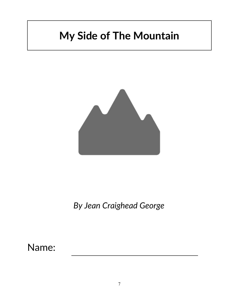

*By Jean Craighead George*

Name: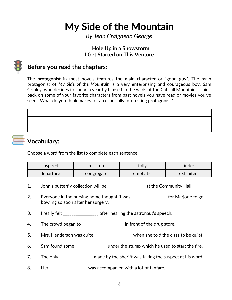*By Jean Craighead George*

### **I Hole Up in a Snowstorm I Get Started on This Venture**



### **Before you read the chapters**:

The **protagonist** in most novels features the main character or "good guy". The main protagonist of *My Side of the Mountain* is a very enterprising and courageous boy, Sam Gribley, who decides to spend a year by himself in the wilds of the Catskill Mountains. Think back on some of your favorite characters from past novels you have read or movies you've seen. What do you think makes for an especially interesting protagonist?



### **Vocabulary:**

Choose a word from the list to complete each sentence.

| inspired  | misstep    | folly    | tinder    |  |  |  |
|-----------|------------|----------|-----------|--|--|--|
| departure | congregate | emphatic | exhibited |  |  |  |

- 1. John's butterfly collection will be \_\_\_\_\_\_\_\_\_\_\_\_\_\_\_\_\_\_ at the Community Hall .
- 2. Everyone in the nursing home thought it was \_\_\_\_\_\_\_\_\_\_\_\_\_\_\_\_\_ for Marjorie to go bowling so soon after her surgery.
- 3. I really felt \_\_\_\_\_\_\_\_\_\_\_\_\_\_\_\_\_ after hearing the astronaut's speech.
- 4. The crowd began to \_\_\_\_\_\_\_\_\_\_\_\_\_\_\_\_\_\_\_ in front of the drug store.
- 5. Mrs. Henderson was quite \_\_\_\_\_\_\_\_\_\_\_\_\_\_\_\_\_ when she told the class to be quiet.
- 6. Sam found some \_\_\_\_\_\_\_\_\_\_\_\_\_\_\_ under the stump which he used to start the fire.
- 7. The only \_\_\_\_\_\_\_\_\_\_\_\_\_\_\_ made by the sheriff was taking the suspect at his word.
- 8. Her \_\_\_\_\_\_\_\_\_\_\_\_\_\_\_\_ was accompanied with a lot of fanfare.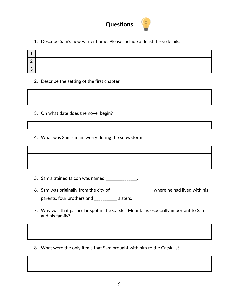

1. Describe Sam's new winter home. Please include at least three details.

#### 2. Describe the setting of the first chapter.

| <u> 1989 - Johann Stoff, amerikansk politiker (d. 1989)</u> |  |  |
|-------------------------------------------------------------|--|--|
|                                                             |  |  |

- 3. On what date does the novel begin?
- 4. What was Sam's main worry during the snowstorm?

- 5. Sam's trained falcon was named \_\_\_\_\_\_\_\_\_\_\_\_\_\_.
- 6. Sam was originally from the city of \_\_\_\_\_\_\_\_\_\_\_\_\_\_\_\_\_\_\_\_ where he had lived with his parents, four brothers and \_\_\_\_\_\_\_\_\_\_\_ sisters.
- 7. Why was that particular spot in the Catskill Mountains especially important to Sam and his family?
- 8. What were the only items that Sam brought with him to the Catskills?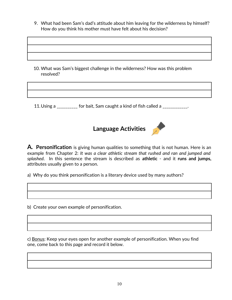9. What had been Sam's dad's attitude about him leaving for the wilderness by himself? How do you think his mother must have felt about his decision?

10. What was Sam's biggest challenge in the wilderness? How was this problem resolved?

11. Using a \_\_\_\_\_\_\_\_\_\_ for bait, Sam caught a kind of fish called a \_\_\_\_\_\_\_\_\_\_\_.





**A***.* **Personification** is giving human qualities to something that is not human. Here is an example from Chapter 2: *It was a clear athletic stream that rushed and ran and jumped and splashed*. In this sentence the stream is described as **athletic** - and it **runs and jumps,** attributes usually given to a person.

a) Why do you think personification is a literary device used by many authors?

b) Create your own example of personification.

c) Bonus: Keep your eyes open for another example of personification. When you find one, come back to this page and record it below.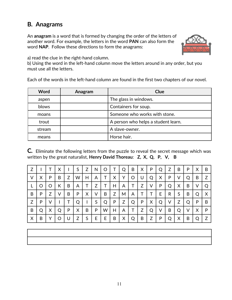### **B***.* **Anagrams**

An **anagram** is a word that is formed by changing the order of the letters of another word. For example, the letters in the word **PAN** can also form the word **NAP**. Follow these directions to form the anagrams:



a) read the clue in the right-hand column.

b) Using the word in the left-hand column move the letters around in any order, but you must use all the letters.

Each of the words in the left-hand column are found in the first two chapters of our novel.

| <b>Word</b> | Anagram | Clue                                |  |  |  |  |  |
|-------------|---------|-------------------------------------|--|--|--|--|--|
| aspen       |         | The glass in windows.               |  |  |  |  |  |
| blows       |         | Containers for soup.                |  |  |  |  |  |
| moans       |         | Someone who works with stone.       |  |  |  |  |  |
| trout       |         | A person who helps a student learn. |  |  |  |  |  |
| stream      |         | A slave-owner.                      |  |  |  |  |  |
| means       |         | Horse hair.                         |  |  |  |  |  |

**C***.* Eliminate the following letters from the puzzle to reveal the secret message which was written by the great naturalist, **Henry David Thoreau**: **Z, X, Q, P, V, B** 

|   |   |   | Χ |   | S | Z | N |   |   |   | B | X | P | Q | Z | B | P | Χ | B |
|---|---|---|---|---|---|---|---|---|---|---|---|---|---|---|---|---|---|---|---|
| V | Х | P | B | Z | W | Н | A |   | Χ | Y | O | U | Q | X | P | V | Q | Β | Ζ |
|   | O | Ő | К | B | A |   | Z |   | Н | Α |   | Z | ٧ | P | Q | X | B | V | Q |
| B | P | Z | ٧ | B | P | X | V | B | Z | M | A |   |   | E | R | S | B | Q | X |
| Z | P | ٧ |   |   | Q | I | S | Q | P | Z | Q | P | X | Q | V | Z | Q | P | B |
| B | Q | X | Q | P | Χ | B | P | W | Н | Α |   | Z | Q | ٧ | B | Q | ٧ | Χ | P |
| X | B | v | O | U | Z | S | Е | Е | B | Χ | Q | B | Z | P | Q | X | B | Q | Z |